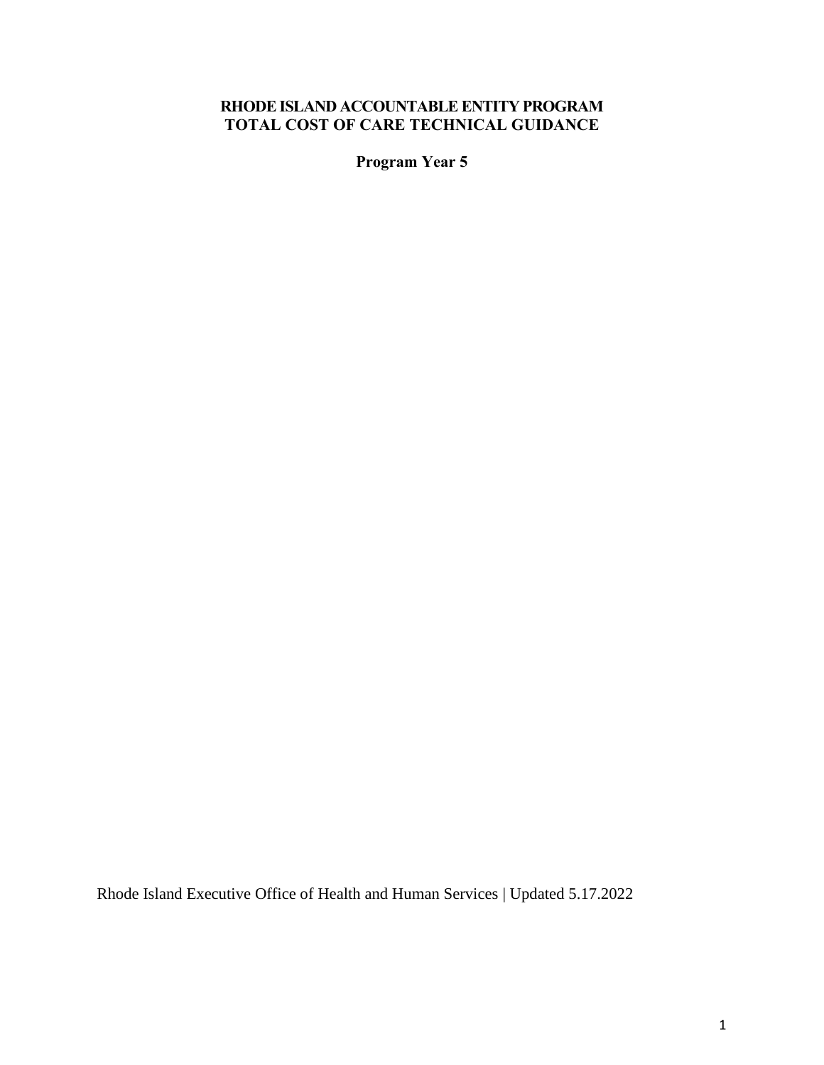# **RHODE ISLAND ACCOUNTABLE ENTITY PROGRAM TOTAL COST OF CARE TECHNICAL GUIDANCE**

**Program Year 5**

Rhode Island Executive Office of Health and Human Services | Updated 5.17.2022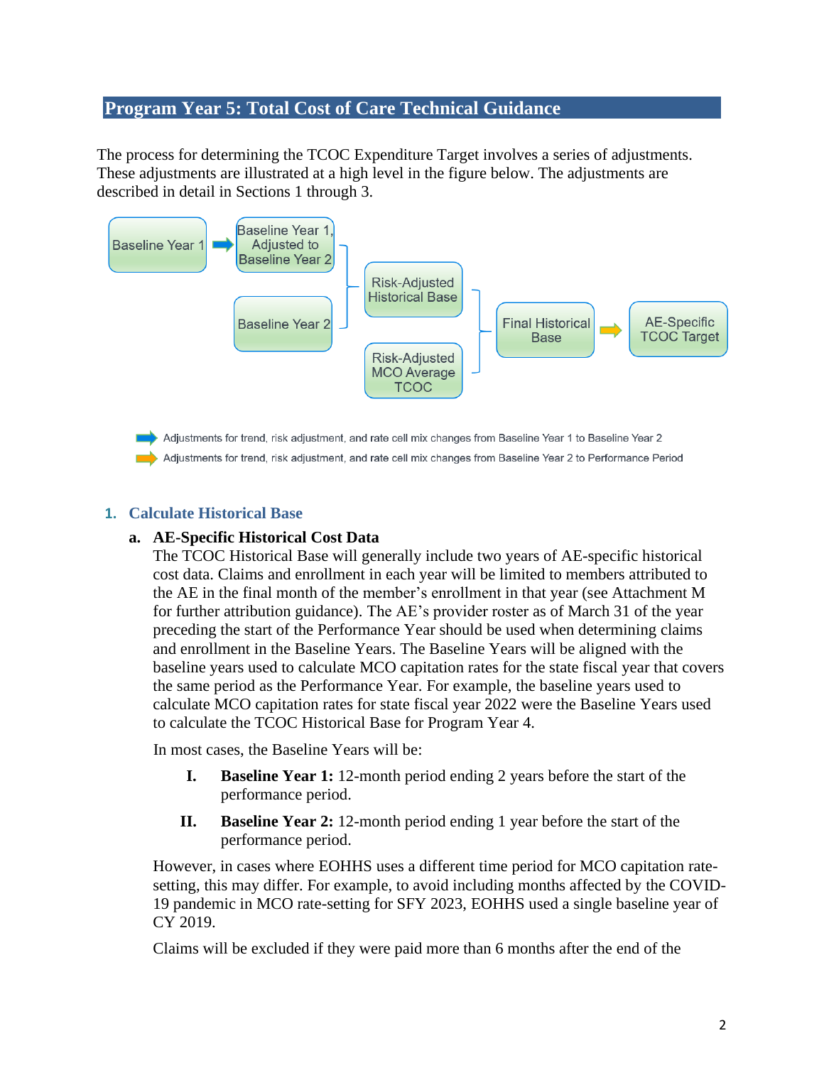# **Program Year 5: Total Cost of Care Technical Guidance**

The process for determining the TCOC Expenditure Target involves a series of adjustments. These adjustments are illustrated at a high level in the figure below. The adjustments are described in detail in Sections 1 through 3.



### **1. Calculate Historical Base**

#### **a. AE-Specific Historical Cost Data**

The TCOC Historical Base will generally include two years of AE-specific historical cost data. Claims and enrollment in each year will be limited to members attributed to the AE in the final month of the member's enrollment in that year (see Attachment M for further attribution guidance). The AE's provider roster as of March 31 of the year preceding the start of the Performance Year should be used when determining claims and enrollment in the Baseline Years. The Baseline Years will be aligned with the baseline years used to calculate MCO capitation rates for the state fiscal year that covers the same period as the Performance Year. For example, the baseline years used to calculate MCO capitation rates for state fiscal year 2022 were the Baseline Years used to calculate the TCOC Historical Base for Program Year 4.

In most cases, the Baseline Years will be:

- **I. Baseline Year 1:** 12-month period ending 2 years before the start of the performance period.
- **II. Baseline Year 2:** 12-month period ending 1 year before the start of the performance period.

However, in cases where EOHHS uses a different time period for MCO capitation ratesetting, this may differ. For example, to avoid including months affected by the COVID-19 pandemic in MCO rate-setting for SFY 2023, EOHHS used a single baseline year of CY 2019.

Claims will be excluded if they were paid more than 6 months after the end of the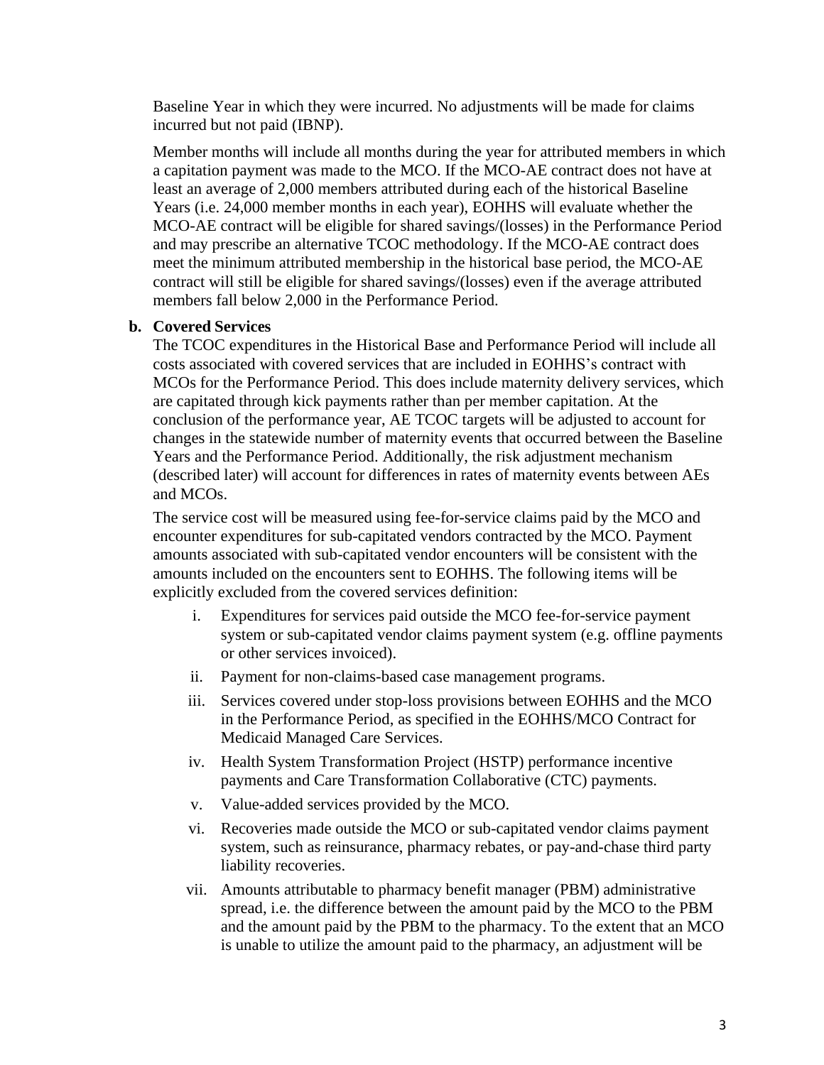Baseline Year in which they were incurred. No adjustments will be made for claims incurred but not paid (IBNP).

Member months will include all months during the year for attributed members in which a capitation payment was made to the MCO. If the MCO-AE contract does not have at least an average of 2,000 members attributed during each of the historical Baseline Years (i.e. 24,000 member months in each year), EOHHS will evaluate whether the MCO-AE contract will be eligible for shared savings/(losses) in the Performance Period and may prescribe an alternative TCOC methodology. If the MCO-AE contract does meet the minimum attributed membership in the historical base period, the MCO-AE contract will still be eligible for shared savings/(losses) even if the average attributed members fall below 2,000 in the Performance Period.

#### **b. Covered Services**

The TCOC expenditures in the Historical Base and Performance Period will include all costs associated with covered services that are included in EOHHS's contract with MCOs for the Performance Period. This does include maternity delivery services, which are capitated through kick payments rather than per member capitation. At the conclusion of the performance year, AE TCOC targets will be adjusted to account for changes in the statewide number of maternity events that occurred between the Baseline Years and the Performance Period. Additionally, the risk adjustment mechanism (described later) will account for differences in rates of maternity events between AEs and MCOs.

The service cost will be measured using fee-for-service claims paid by the MCO and encounter expenditures for sub-capitated vendors contracted by the MCO. Payment amounts associated with sub-capitated vendor encounters will be consistent with the amounts included on the encounters sent to EOHHS. The following items will be explicitly excluded from the covered services definition:

- i. Expenditures for services paid outside the MCO fee-for-service payment system or sub-capitated vendor claims payment system (e.g. offline payments or other services invoiced).
- ii. Payment for non-claims-based case management programs.
- iii. Services covered under stop-loss provisions between EOHHS and the MCO in the Performance Period, as specified in the EOHHS/MCO Contract for Medicaid Managed Care Services.
- iv. Health System Transformation Project (HSTP) performance incentive payments and Care Transformation Collaborative (CTC) payments.
- v. Value-added services provided by the MCO.
- vi. Recoveries made outside the MCO or sub-capitated vendor claims payment system, such as reinsurance, pharmacy rebates, or pay-and-chase third party liability recoveries.
- vii. Amounts attributable to pharmacy benefit manager (PBM) administrative spread, i.e. the difference between the amount paid by the MCO to the PBM and the amount paid by the PBM to the pharmacy. To the extent that an MCO is unable to utilize the amount paid to the pharmacy, an adjustment will be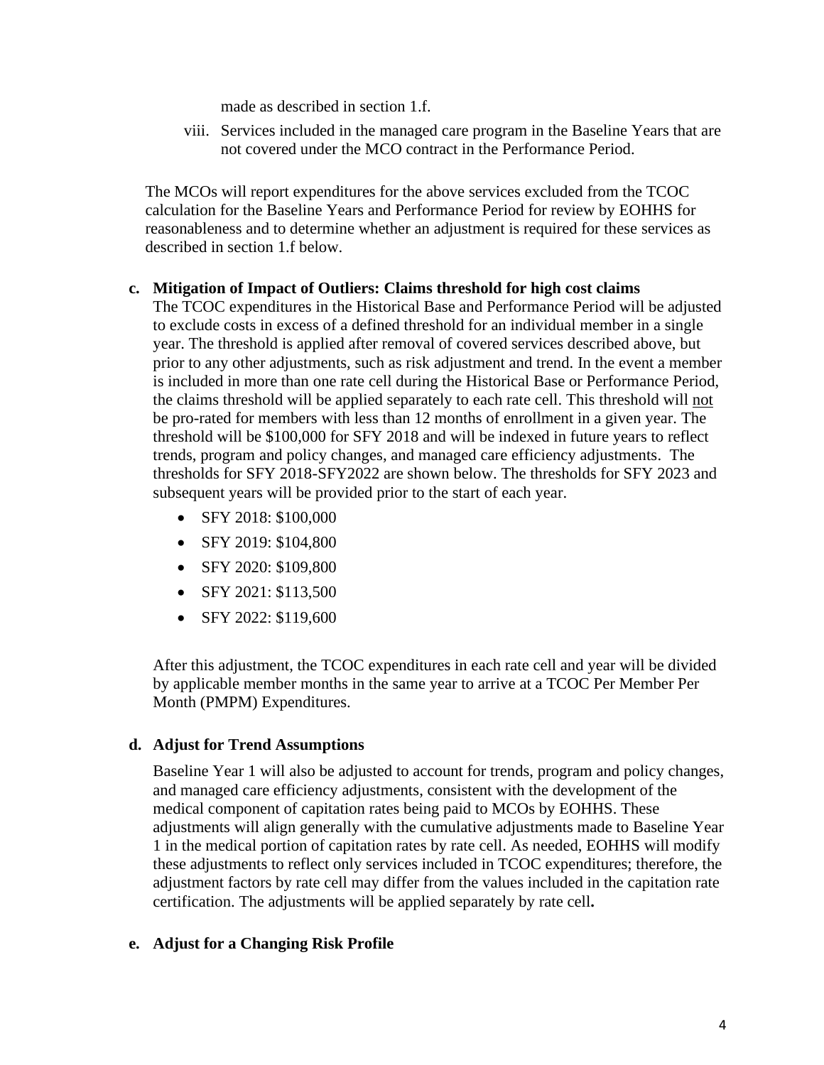made as described in section 1.f.

viii. Services included in the managed care program in the Baseline Years that are not covered under the MCO contract in the Performance Period.

The MCOs will report expenditures for the above services excluded from the TCOC calculation for the Baseline Years and Performance Period for review by EOHHS for reasonableness and to determine whether an adjustment is required for these services as described in section 1.f below.

#### **c. Mitigation of Impact of Outliers: Claims threshold for high cost claims**

The TCOC expenditures in the Historical Base and Performance Period will be adjusted to exclude costs in excess of a defined threshold for an individual member in a single year. The threshold is applied after removal of covered services described above, but prior to any other adjustments, such as risk adjustment and trend. In the event a member is included in more than one rate cell during the Historical Base or Performance Period, the claims threshold will be applied separately to each rate cell. This threshold will not be pro-rated for members with less than 12 months of enrollment in a given year. The threshold will be \$100,000 for SFY 2018 and will be indexed in future years to reflect trends, program and policy changes, and managed care efficiency adjustments. The thresholds for SFY 2018-SFY2022 are shown below. The thresholds for SFY 2023 and subsequent years will be provided prior to the start of each year.

- SFY 2018: \$100,000
- SFY 2019: \$104,800
- SFY 2020: \$109,800
- SFY 2021: \$113,500
- SFY 2022: \$119,600

After this adjustment, the TCOC expenditures in each rate cell and year will be divided by applicable member months in the same year to arrive at a TCOC Per Member Per Month (PMPM) Expenditures.

## **d. Adjust for Trend Assumptions**

Baseline Year 1 will also be adjusted to account for trends, program and policy changes, and managed care efficiency adjustments, consistent with the development of the medical component of capitation rates being paid to MCOs by EOHHS. These adjustments will align generally with the cumulative adjustments made to Baseline Year 1 in the medical portion of capitation rates by rate cell. As needed, EOHHS will modify these adjustments to reflect only services included in TCOC expenditures; therefore, the adjustment factors by rate cell may differ from the values included in the capitation rate certification. The adjustments will be applied separately by rate cell**.**

#### **e. Adjust for a Changing Risk Profile**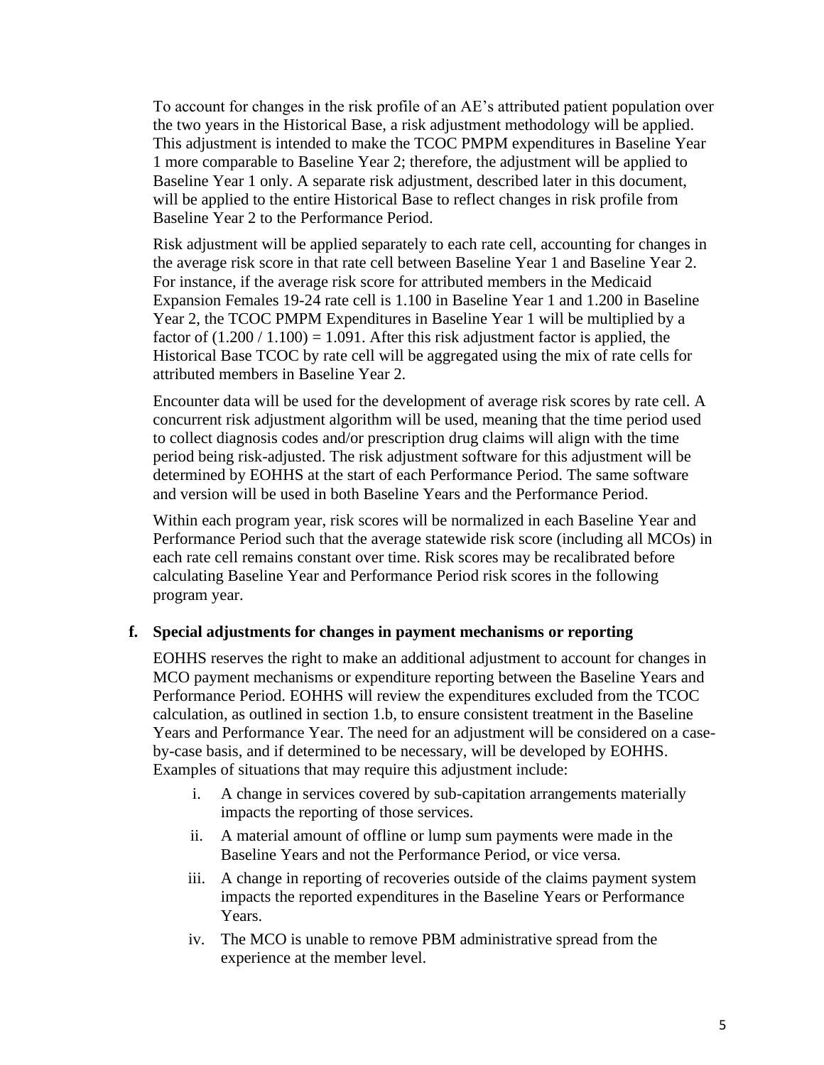To account for changes in the risk profile of an AE's attributed patient population over the two years in the Historical Base, a risk adjustment methodology will be applied. This adjustment is intended to make the TCOC PMPM expenditures in Baseline Year 1 more comparable to Baseline Year 2; therefore, the adjustment will be applied to Baseline Year 1 only. A separate risk adjustment, described later in this document, will be applied to the entire Historical Base to reflect changes in risk profile from Baseline Year 2 to the Performance Period.

Risk adjustment will be applied separately to each rate cell, accounting for changes in the average risk score in that rate cell between Baseline Year 1 and Baseline Year 2. For instance, if the average risk score for attributed members in the Medicaid Expansion Females 19-24 rate cell is 1.100 in Baseline Year 1 and 1.200 in Baseline Year 2, the TCOC PMPM Expenditures in Baseline Year 1 will be multiplied by a factor of  $(1.200 / 1.100) = 1.091$ . After this risk adjustment factor is applied, the Historical Base TCOC by rate cell will be aggregated using the mix of rate cells for attributed members in Baseline Year 2.

Encounter data will be used for the development of average risk scores by rate cell. A concurrent risk adjustment algorithm will be used, meaning that the time period used to collect diagnosis codes and/or prescription drug claims will align with the time period being risk-adjusted. The risk adjustment software for this adjustment will be determined by EOHHS at the start of each Performance Period. The same software and version will be used in both Baseline Years and the Performance Period.

Within each program year, risk scores will be normalized in each Baseline Year and Performance Period such that the average statewide risk score (including all MCOs) in each rate cell remains constant over time. Risk scores may be recalibrated before calculating Baseline Year and Performance Period risk scores in the following program year.

#### **f. Special adjustments for changes in payment mechanisms or reporting**

EOHHS reserves the right to make an additional adjustment to account for changes in MCO payment mechanisms or expenditure reporting between the Baseline Years and Performance Period. EOHHS will review the expenditures excluded from the TCOC calculation, as outlined in section 1.b, to ensure consistent treatment in the Baseline Years and Performance Year. The need for an adjustment will be considered on a caseby-case basis, and if determined to be necessary, will be developed by EOHHS. Examples of situations that may require this adjustment include:

- i. A change in services covered by sub-capitation arrangements materially impacts the reporting of those services.
- ii. A material amount of offline or lump sum payments were made in the Baseline Years and not the Performance Period, or vice versa.
- iii. A change in reporting of recoveries outside of the claims payment system impacts the reported expenditures in the Baseline Years or Performance Years.
- iv. The MCO is unable to remove PBM administrative spread from the experience at the member level.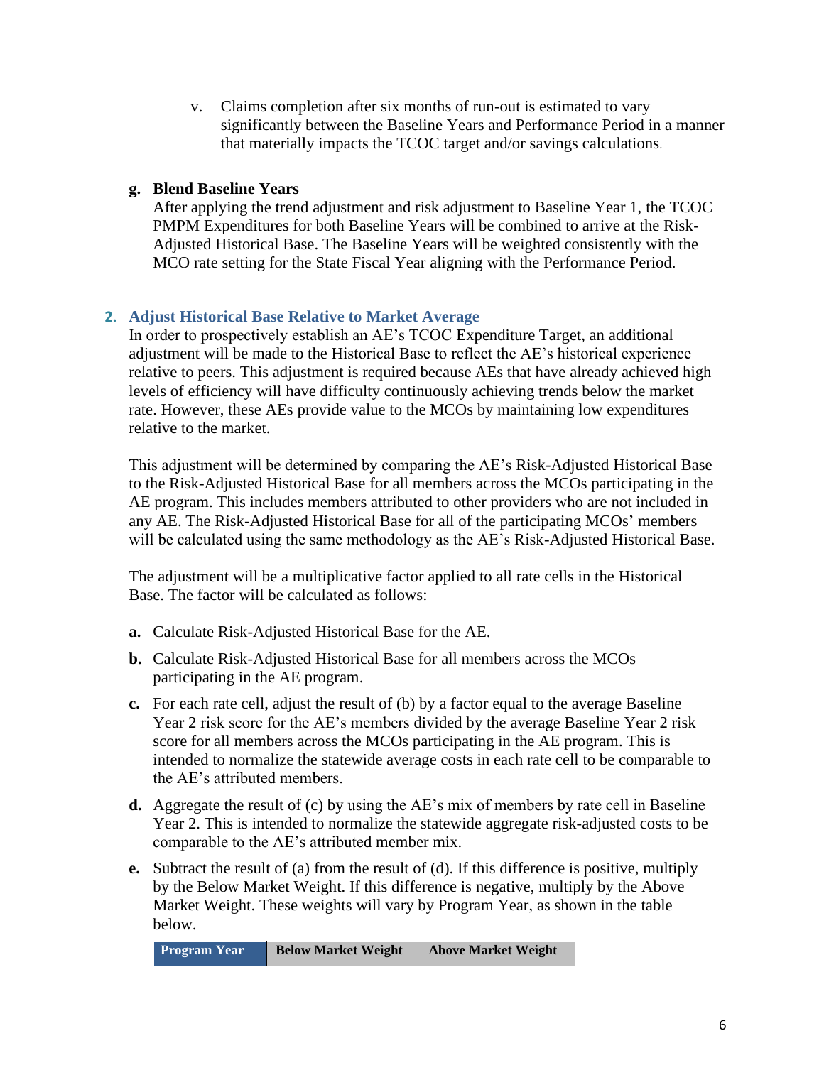v. Claims completion after six months of run-out is estimated to vary significantly between the Baseline Years and Performance Period in a manner that materially impacts the TCOC target and/or savings calculations.

# **g. Blend Baseline Years**

After applying the trend adjustment and risk adjustment to Baseline Year 1, the TCOC PMPM Expenditures for both Baseline Years will be combined to arrive at the Risk-Adjusted Historical Base. The Baseline Years will be weighted consistently with the MCO rate setting for the State Fiscal Year aligning with the Performance Period.

# **2. Adjust Historical Base Relative to Market Average**

In order to prospectively establish an AE's TCOC Expenditure Target, an additional adjustment will be made to the Historical Base to reflect the AE's historical experience relative to peers. This adjustment is required because AEs that have already achieved high levels of efficiency will have difficulty continuously achieving trends below the market rate. However, these AEs provide value to the MCOs by maintaining low expenditures relative to the market.

This adjustment will be determined by comparing the AE's Risk-Adjusted Historical Base to the Risk-Adjusted Historical Base for all members across the MCOs participating in the AE program. This includes members attributed to other providers who are not included in any AE. The Risk-Adjusted Historical Base for all of the participating MCOs' members will be calculated using the same methodology as the AE's Risk-Adjusted Historical Base.

The adjustment will be a multiplicative factor applied to all rate cells in the Historical Base. The factor will be calculated as follows:

- **a.** Calculate Risk-Adjusted Historical Base for the AE.
- **b.** Calculate Risk-Adjusted Historical Base for all members across the MCOs participating in the AE program.
- **c.** For each rate cell, adjust the result of (b) by a factor equal to the average Baseline Year 2 risk score for the AE's members divided by the average Baseline Year 2 risk score for all members across the MCOs participating in the AE program. This is intended to normalize the statewide average costs in each rate cell to be comparable to the AE's attributed members.
- **d.** Aggregate the result of (c) by using the AE's mix of members by rate cell in Baseline Year 2. This is intended to normalize the statewide aggregate risk-adjusted costs to be comparable to the AE's attributed member mix.
- **e.** Subtract the result of (a) from the result of (d). If this difference is positive, multiply by the Below Market Weight. If this difference is negative, multiply by the Above Market Weight. These weights will vary by Program Year, as shown in the table below.

```
Program Year Below Market Weight Above Market Weight
```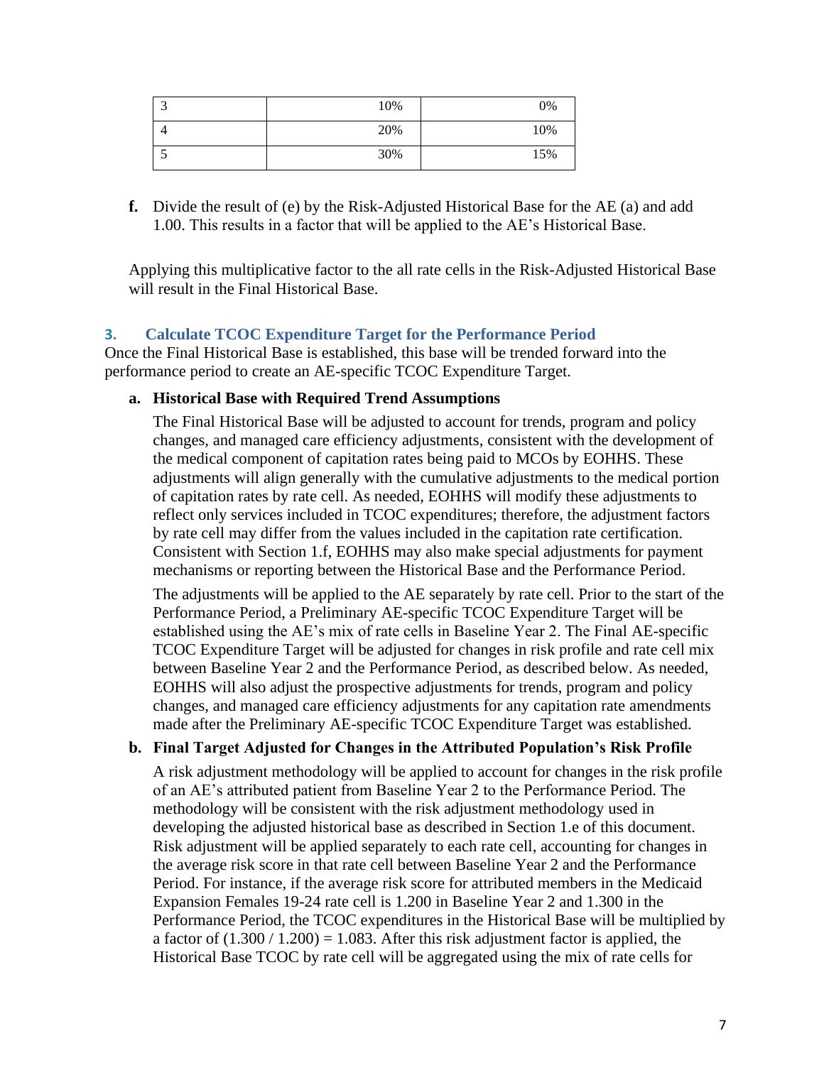| ⌒<br>◡ | 10% | 0%  |
|--------|-----|-----|
| 4      | 20% | 10% |
| ◡      | 30% | 15% |

**f.** Divide the result of (e) by the Risk-Adjusted Historical Base for the AE (a) and add 1.00. This results in a factor that will be applied to the AE's Historical Base.

Applying this multiplicative factor to the all rate cells in the Risk-Adjusted Historical Base will result in the Final Historical Base.

## **3. Calculate TCOC Expenditure Target for the Performance Period**

Once the Final Historical Base is established, this base will be trended forward into the performance period to create an AE-specific TCOC Expenditure Target.

### **a. Historical Base with Required Trend Assumptions**

The Final Historical Base will be adjusted to account for trends, program and policy changes, and managed care efficiency adjustments, consistent with the development of the medical component of capitation rates being paid to MCOs by EOHHS. These adjustments will align generally with the cumulative adjustments to the medical portion of capitation rates by rate cell. As needed, EOHHS will modify these adjustments to reflect only services included in TCOC expenditures; therefore, the adjustment factors by rate cell may differ from the values included in the capitation rate certification. Consistent with Section 1.f, EOHHS may also make special adjustments for payment mechanisms or reporting between the Historical Base and the Performance Period.

The adjustments will be applied to the AE separately by rate cell. Prior to the start of the Performance Period, a Preliminary AE-specific TCOC Expenditure Target will be established using the AE's mix of rate cells in Baseline Year 2. The Final AE-specific TCOC Expenditure Target will be adjusted for changes in risk profile and rate cell mix between Baseline Year 2 and the Performance Period, as described below. As needed, EOHHS will also adjust the prospective adjustments for trends, program and policy changes, and managed care efficiency adjustments for any capitation rate amendments made after the Preliminary AE-specific TCOC Expenditure Target was established.

## **b. Final Target Adjusted for Changes in the Attributed Population's Risk Profile**

A risk adjustment methodology will be applied to account for changes in the risk profile of an AE's attributed patient from Baseline Year 2 to the Performance Period. The methodology will be consistent with the risk adjustment methodology used in developing the adjusted historical base as described in Section 1.e of this document. Risk adjustment will be applied separately to each rate cell, accounting for changes in the average risk score in that rate cell between Baseline Year 2 and the Performance Period. For instance, if the average risk score for attributed members in the Medicaid Expansion Females 19-24 rate cell is 1.200 in Baseline Year 2 and 1.300 in the Performance Period, the TCOC expenditures in the Historical Base will be multiplied by a factor of  $(1.300 / 1.200) = 1.083$ . After this risk adjustment factor is applied, the Historical Base TCOC by rate cell will be aggregated using the mix of rate cells for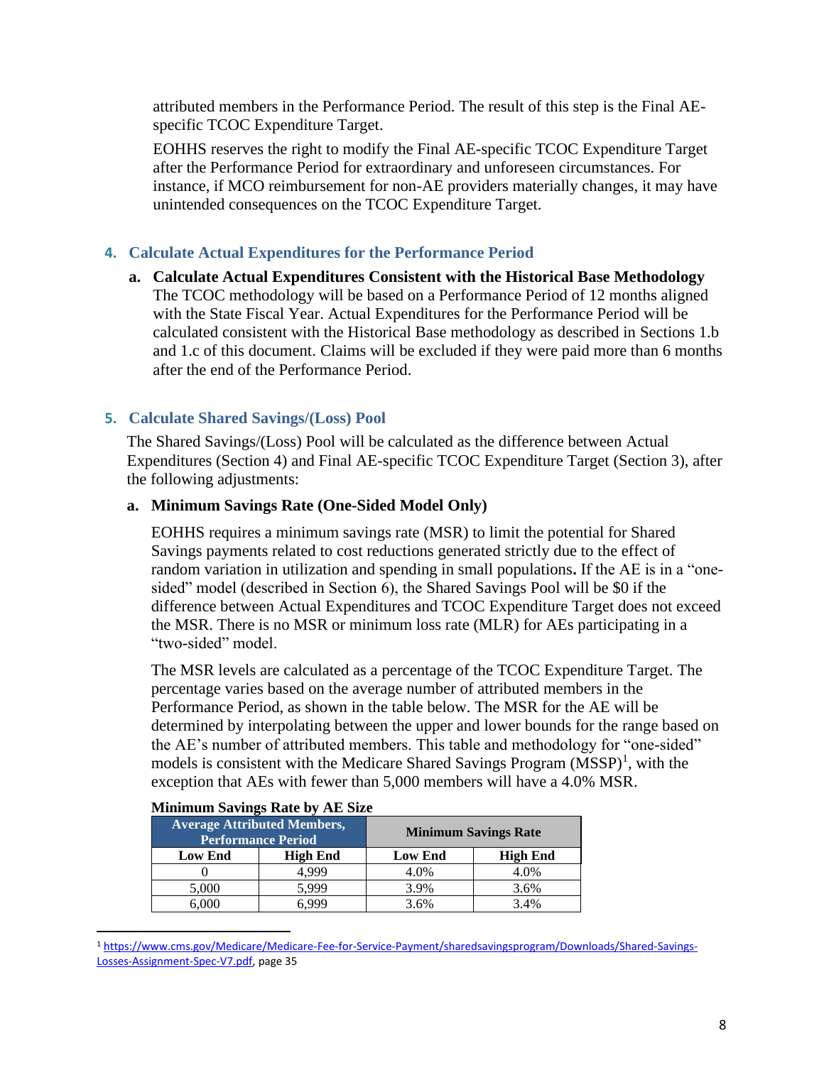attributed members in the Performance Period. The result of this step is the Final AEspecific TCOC Expenditure Target.

EOHHS reserves the right to modify the Final AE-specific TCOC Expenditure Target after the Performance Period for extraordinary and unforeseen circumstances. For instance, if MCO reimbursement for non-AE providers materially changes, it may have unintended consequences on the TCOC Expenditure Target.

# **4. Calculate Actual Expenditures for the Performance Period**

**a. Calculate Actual Expenditures Consistent with the Historical Base Methodology** The TCOC methodology will be based on a Performance Period of 12 months aligned with the State Fiscal Year. Actual Expenditures for the Performance Period will be calculated consistent with the Historical Base methodology as described in Sections 1.b and 1.c of this document. Claims will be excluded if they were paid more than 6 months after the end of the Performance Period.

# **5. Calculate Shared Savings/(Loss) Pool**

The Shared Savings/(Loss) Pool will be calculated as the difference between Actual Expenditures (Section 4) and Final AE-specific TCOC Expenditure Target (Section 3), after the following adjustments:

### **a. Minimum Savings Rate (One-Sided Model Only)**

EOHHS requires a minimum savings rate (MSR) to limit the potential for Shared Savings payments related to cost reductions generated strictly due to the effect of random variation in utilization and spending in small populations**.** If the AE is in a "onesided" model (described in Section 6), the Shared Savings Pool will be \$0 if the difference between Actual Expenditures and TCOC Expenditure Target does not exceed the MSR. There is no MSR or minimum loss rate (MLR) for AEs participating in a "two-sided" model.

The MSR levels are calculated as a percentage of the TCOC Expenditure Target. The percentage varies based on the average number of attributed members in the Performance Period, as shown in the table below. The MSR for the AE will be determined by interpolating between the upper and lower bounds for the range based on the AE's number of attributed members. This table and methodology for "one-sided" models is consistent with the Medicare Shared Savings Program  $(MSSP)^1$ , with the exception that AEs with fewer than 5,000 members will have a 4.0% MSR.

| <b>Average Attributed Members,</b><br><b>Performance Period</b> |          | <b>Minimum Savings Rate</b> |                 |
|-----------------------------------------------------------------|----------|-----------------------------|-----------------|
| <b>Low End</b>                                                  | High End | <b>Low End</b>              | <b>High End</b> |
|                                                                 | 4.999    | 4.0%                        | 4.0%            |
| 5,000                                                           | 5.999    | 3.9%                        | 3.6%            |
| 6,000                                                           | ና 999    | 3.6%                        | 3.4%            |

#### **Minimum Savings Rate by AE Size**

<sup>1</sup> [https://www.cms.gov/Medicare/Medicare-Fee-for-Service-Payment/sharedsavingsprogram/Downloads/Shared-Savings-](https://www.cms.gov/Medicare/Medicare-Fee-for-Service-Payment/sharedsavingsprogram/Downloads/Shared-Savings-Losses-Assignment-Spec-V7.pdf)[Losses-Assignment-Spec-V7.pdf,](https://www.cms.gov/Medicare/Medicare-Fee-for-Service-Payment/sharedsavingsprogram/Downloads/Shared-Savings-Losses-Assignment-Spec-V7.pdf) page 35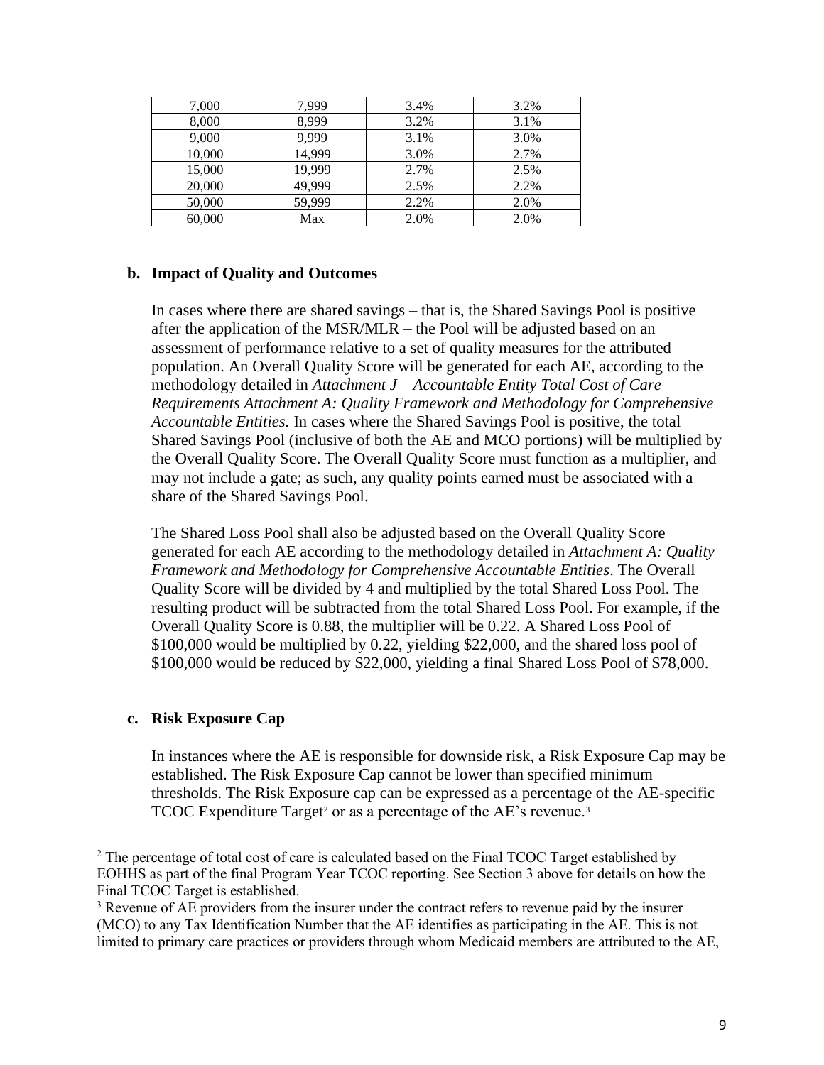| 7,000  | 7,999  | 3.4% | 3.2% |
|--------|--------|------|------|
| 8,000  | 8,999  | 3.2% | 3.1% |
| 9,000  | 9,999  | 3.1% | 3.0% |
| 10,000 | 14.999 | 3.0% | 2.7% |
| 15,000 | 19,999 | 2.7% | 2.5% |
| 20,000 | 49,999 | 2.5% | 2.2% |
| 50,000 | 59,999 | 2.2% | 2.0% |
| 60,000 | Max    | 2.0% | 2.0% |

#### **b. Impact of Quality and Outcomes**

In cases where there are shared savings – that is, the Shared Savings Pool is positive after the application of the MSR/MLR – the Pool will be adjusted based on an assessment of performance relative to a set of quality measures for the attributed population. An Overall Quality Score will be generated for each AE, according to the methodology detailed in *Attachment J – Accountable Entity Total Cost of Care Requirements Attachment A: Quality Framework and Methodology for Comprehensive Accountable Entities.* In cases where the Shared Savings Pool is positive, the total Shared Savings Pool (inclusive of both the AE and MCO portions) will be multiplied by the Overall Quality Score. The Overall Quality Score must function as a multiplier, and may not include a gate; as such, any quality points earned must be associated with a share of the Shared Savings Pool.

The Shared Loss Pool shall also be adjusted based on the Overall Quality Score generated for each AE according to the methodology detailed in *Attachment A: Quality Framework and Methodology for Comprehensive Accountable Entities*. The Overall Quality Score will be divided by 4 and multiplied by the total Shared Loss Pool. The resulting product will be subtracted from the total Shared Loss Pool. For example, if the Overall Quality Score is 0.88, the multiplier will be 0.22. A Shared Loss Pool of \$100,000 would be multiplied by 0.22, yielding \$22,000, and the shared loss pool of \$100,000 would be reduced by \$22,000, yielding a final Shared Loss Pool of \$78,000.

#### **c. Risk Exposure Cap**

In instances where the AE is responsible for downside risk, a Risk Exposure Cap may be established. The Risk Exposure Cap cannot be lower than specified minimum thresholds. The Risk Exposure cap can be expressed as a percentage of the AE-specific TCOC Expenditure Target<sup>2</sup> or as a percentage of the AE's revenue.<sup>3</sup>

<sup>&</sup>lt;sup>2</sup> The percentage of total cost of care is calculated based on the Final TCOC Target established by EOHHS as part of the final Program Year TCOC reporting. See Section 3 above for details on how the Final TCOC Target is established.

<sup>&</sup>lt;sup>3</sup> Revenue of AE providers from the insurer under the contract refers to revenue paid by the insurer (MCO) to any Tax Identification Number that the AE identifies as participating in the AE. This is not limited to primary care practices or providers through whom Medicaid members are attributed to the AE,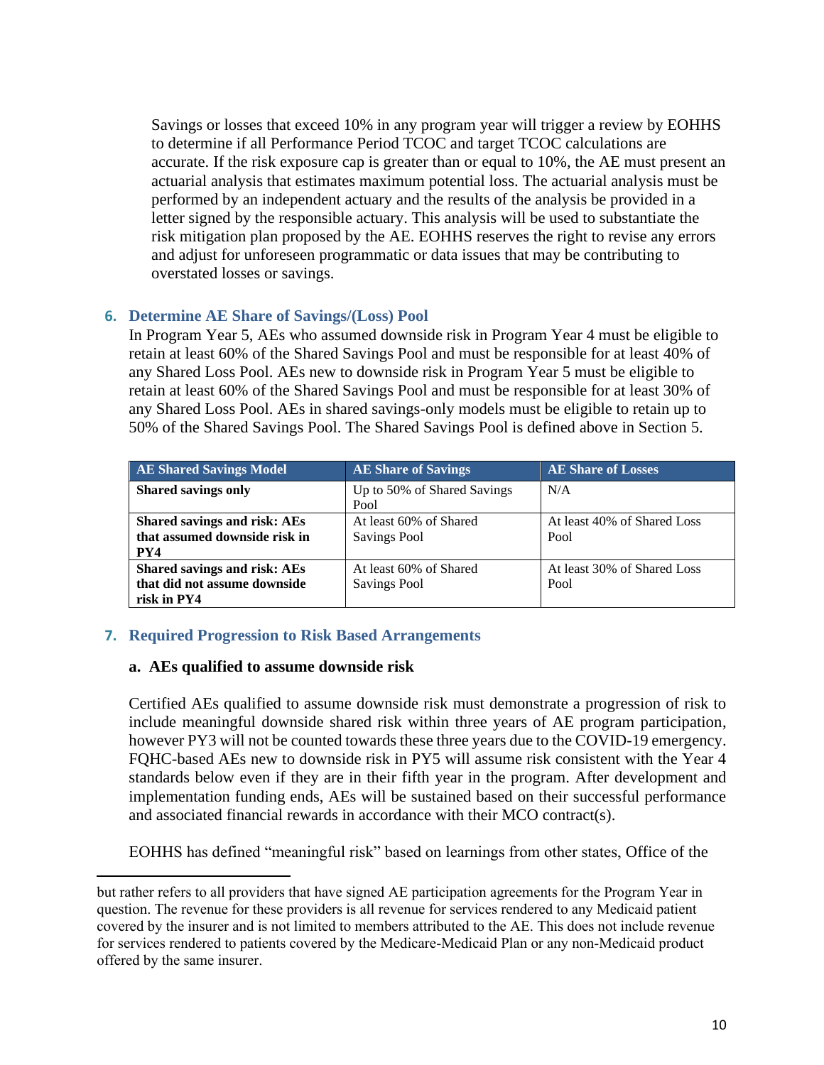Savings or losses that exceed 10% in any program year will trigger a review by EOHHS to determine if all Performance Period TCOC and target TCOC calculations are accurate. If the risk exposure cap is greater than or equal to 10%, the AE must present an actuarial analysis that estimates maximum potential loss. The actuarial analysis must be performed by an independent actuary and the results of the analysis be provided in a letter signed by the responsible actuary. This analysis will be used to substantiate the risk mitigation plan proposed by the AE. EOHHS reserves the right to revise any errors and adjust for unforeseen programmatic or data issues that may be contributing to overstated losses or savings.

### **6. Determine AE Share of Savings/(Loss) Pool**

In Program Year 5, AEs who assumed downside risk in Program Year 4 must be eligible to retain at least 60% of the Shared Savings Pool and must be responsible for at least 40% of any Shared Loss Pool. AEs new to downside risk in Program Year 5 must be eligible to retain at least 60% of the Shared Savings Pool and must be responsible for at least 30% of any Shared Loss Pool. AEs in shared savings-only models must be eligible to retain up to 50% of the Shared Savings Pool. The Shared Savings Pool is defined above in Section 5.

| <b>AE Shared Savings Model</b>                                              | <b>AE Share of Savings</b>                    | <b>AE Share of Losses</b>           |
|-----------------------------------------------------------------------------|-----------------------------------------------|-------------------------------------|
| <b>Shared savings only</b>                                                  | Up to 50% of Shared Savings<br>Pool           | N/A                                 |
| Shared savings and risk: AEs<br>that assumed downside risk in<br>PY4        | At least 60% of Shared<br><b>Savings Pool</b> | At least 40% of Shared Loss<br>Pool |
| Shared savings and risk: AEs<br>that did not assume downside<br>risk in PY4 | At least 60% of Shared<br><b>Savings Pool</b> | At least 30% of Shared Loss<br>Pool |

## **7. Required Progression to Risk Based Arrangements**

#### **a. AEs qualified to assume downside risk**

Certified AEs qualified to assume downside risk must demonstrate a progression of risk to include meaningful downside shared risk within three years of AE program participation, however PY3 will not be counted towards these three years due to the COVID-19 emergency. FQHC-based AEs new to downside risk in PY5 will assume risk consistent with the Year 4 standards below even if they are in their fifth year in the program. After development and implementation funding ends, AEs will be sustained based on their successful performance and associated financial rewards in accordance with their MCO contract(s).

EOHHS has defined "meaningful risk" based on learnings from other states, Office of the

but rather refers to all providers that have signed AE participation agreements for the Program Year in question. The revenue for these providers is all revenue for services rendered to any Medicaid patient covered by the insurer and is not limited to members attributed to the AE. This does not include revenue for services rendered to patients covered by the Medicare-Medicaid Plan or any non-Medicaid product offered by the same insurer.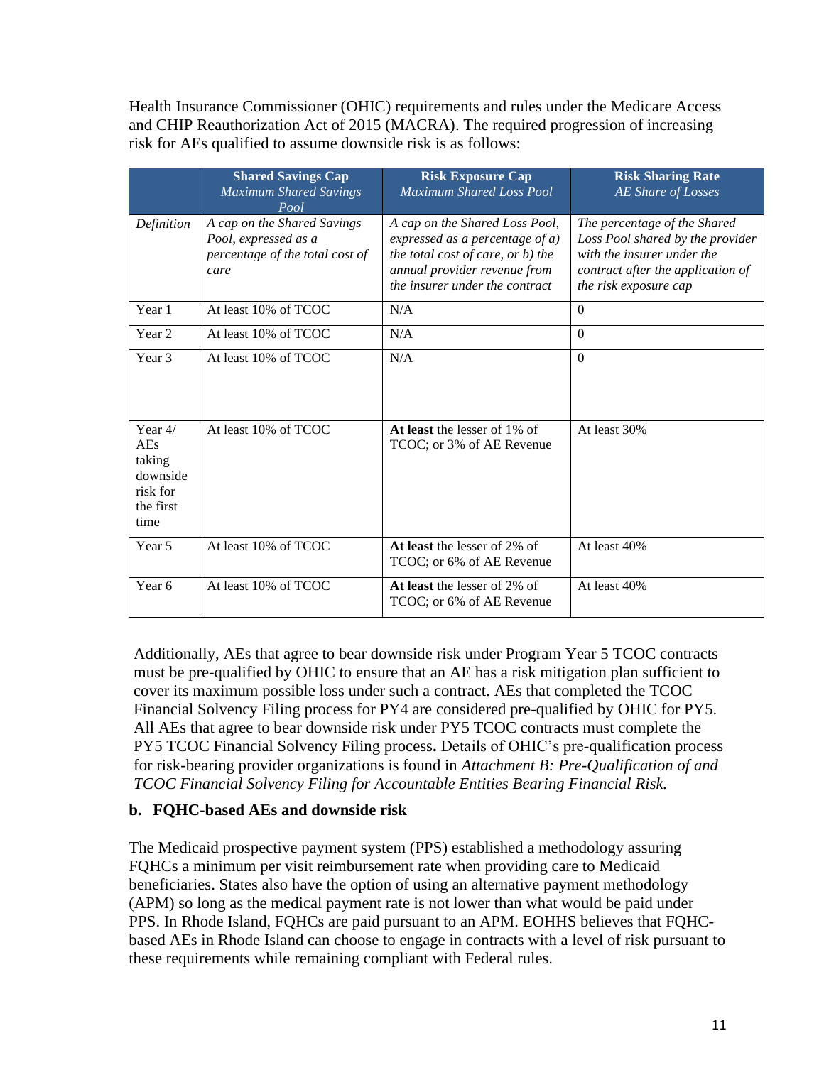Health Insurance Commissioner (OHIC) requirements and rules under the Medicare Access and CHIP Reauthorization Act of 2015 (MACRA). The required progression of increasing risk for AEs qualified to assume downside risk is as follows:

|                                                                         | <b>Shared Savings Cap</b><br><b>Maximum Shared Savings</b><br>Pool                             | <b>Risk Exposure Cap</b><br><b>Maximum Shared Loss Pool</b>                                                                                                                 | <b>Risk Sharing Rate</b><br>AE Share of Losses                                                                                                               |
|-------------------------------------------------------------------------|------------------------------------------------------------------------------------------------|-----------------------------------------------------------------------------------------------------------------------------------------------------------------------------|--------------------------------------------------------------------------------------------------------------------------------------------------------------|
| Definition                                                              | A cap on the Shared Savings<br>Pool, expressed as a<br>percentage of the total cost of<br>care | A cap on the Shared Loss Pool,<br>expressed as a percentage of $a$ )<br>the total cost of care, or b) the<br>annual provider revenue from<br>the insurer under the contract | The percentage of the Shared<br>Loss Pool shared by the provider<br>with the insurer under the<br>contract after the application of<br>the risk exposure cap |
| Year 1                                                                  | At least 10% of TCOC                                                                           | N/A                                                                                                                                                                         | $\theta$                                                                                                                                                     |
| Year <sub>2</sub>                                                       | At least 10% of TCOC                                                                           | N/A                                                                                                                                                                         | $\theta$                                                                                                                                                     |
| Year 3                                                                  | At least 10% of TCOC                                                                           | N/A                                                                                                                                                                         | $\Omega$                                                                                                                                                     |
| Year $4/$<br>AEs<br>taking<br>downside<br>risk for<br>the first<br>time | At least 10% of TCOC                                                                           | At least the lesser of 1% of<br>TCOC; or 3% of AE Revenue                                                                                                                   | At least 30%                                                                                                                                                 |
| Year 5                                                                  | At least 10% of TCOC                                                                           | At least the lesser of 2% of<br>TCOC; or 6% of AE Revenue                                                                                                                   | At least 40%                                                                                                                                                 |
| Year 6                                                                  | At least 10% of TCOC                                                                           | At least the lesser of 2% of<br>TCOC; or 6% of AE Revenue                                                                                                                   | At least 40%                                                                                                                                                 |

Additionally, AEs that agree to bear downside risk under Program Year 5 TCOC contracts must be pre-qualified by OHIC to ensure that an AE has a risk mitigation plan sufficient to cover its maximum possible loss under such a contract. AEs that completed the TCOC Financial Solvency Filing process for PY4 are considered pre-qualified by OHIC for PY5. All AEs that agree to bear downside risk under PY5 TCOC contracts must complete the PY5 TCOC Financial Solvency Filing process**.** Details of OHIC's pre-qualification process for risk-bearing provider organizations is found in *Attachment B: Pre-Qualification of and TCOC Financial Solvency Filing for Accountable Entities Bearing Financial Risk.*

## **b. FQHC-based AEs and downside risk**

The Medicaid prospective payment system (PPS) established a methodology assuring FQHCs a minimum per visit reimbursement rate when providing care to Medicaid beneficiaries. States also have the option of using an alternative payment methodology (APM) so long as the medical payment rate is not lower than what would be paid under PPS. In Rhode Island, FQHCs are paid pursuant to an APM. EOHHS believes that FQHCbased AEs in Rhode Island can choose to engage in contracts with a level of risk pursuant to these requirements while remaining compliant with Federal rules.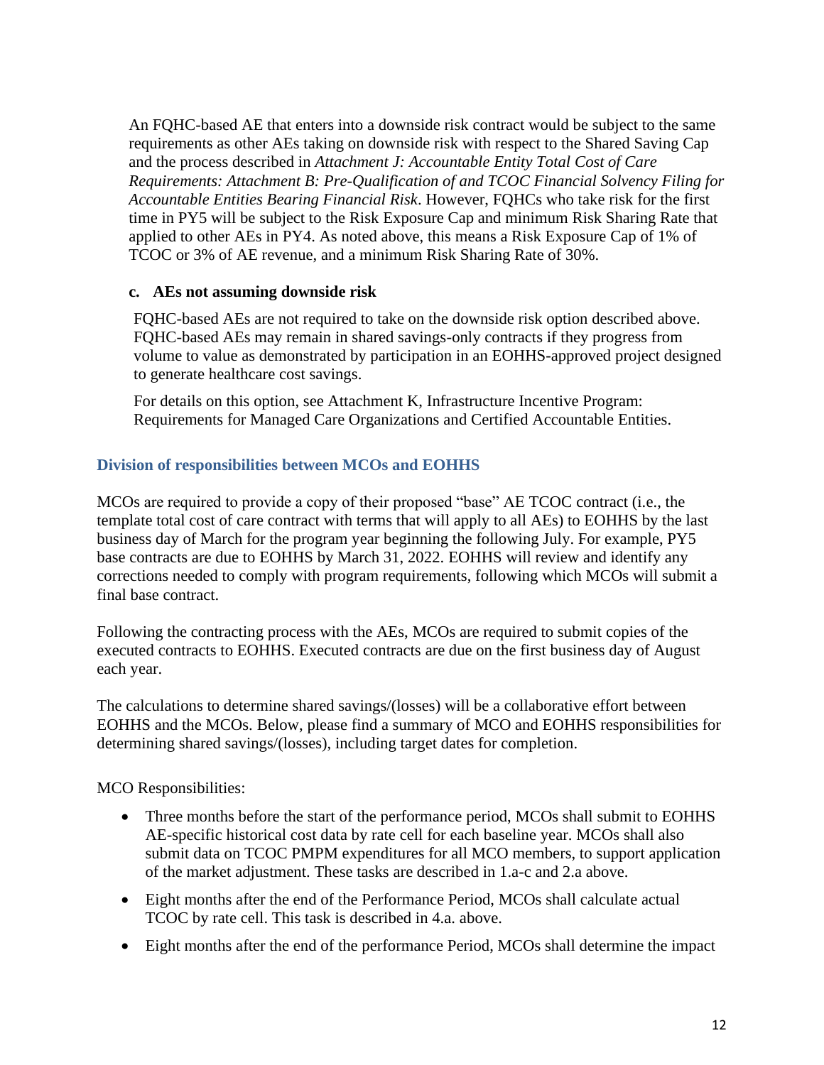An FQHC-based AE that enters into a downside risk contract would be subject to the same requirements as other AEs taking on downside risk with respect to the Shared Saving Cap and the process described in *Attachment J: Accountable Entity Total Cost of Care Requirements: Attachment B: Pre-Qualification of and TCOC Financial Solvency Filing for Accountable Entities Bearing Financial Risk*. However, FQHCs who take risk for the first time in PY5 will be subject to the Risk Exposure Cap and minimum Risk Sharing Rate that applied to other AEs in PY4. As noted above, this means a Risk Exposure Cap of 1% of TCOC or 3% of AE revenue, and a minimum Risk Sharing Rate of 30%.

### **c. AEs not assuming downside risk**

FQHC-based AEs are not required to take on the downside risk option described above. FQHC-based AEs may remain in shared savings-only contracts if they progress from volume to value as demonstrated by participation in an EOHHS-approved project designed to generate healthcare cost savings.

For details on this option, see Attachment K, Infrastructure Incentive Program: Requirements for Managed Care Organizations and Certified Accountable Entities.

### **Division of responsibilities between MCOs and EOHHS**

MCOs are required to provide a copy of their proposed "base" AE TCOC contract (i.e., the template total cost of care contract with terms that will apply to all AEs) to EOHHS by the last business day of March for the program year beginning the following July. For example, PY5 base contracts are due to EOHHS by March 31, 2022. EOHHS will review and identify any corrections needed to comply with program requirements, following which MCOs will submit a final base contract.

Following the contracting process with the AEs, MCOs are required to submit copies of the executed contracts to EOHHS. Executed contracts are due on the first business day of August each year.

The calculations to determine shared savings/(losses) will be a collaborative effort between EOHHS and the MCOs. Below, please find a summary of MCO and EOHHS responsibilities for determining shared savings/(losses), including target dates for completion.

MCO Responsibilities:

- Three months before the start of the performance period, MCOs shall submit to EOHHS AE-specific historical cost data by rate cell for each baseline year. MCOs shall also submit data on TCOC PMPM expenditures for all MCO members, to support application of the market adjustment. These tasks are described in 1.a-c and 2.a above.
- Eight months after the end of the Performance Period, MCOs shall calculate actual TCOC by rate cell. This task is described in 4.a. above.
- Eight months after the end of the performance Period, MCOs shall determine the impact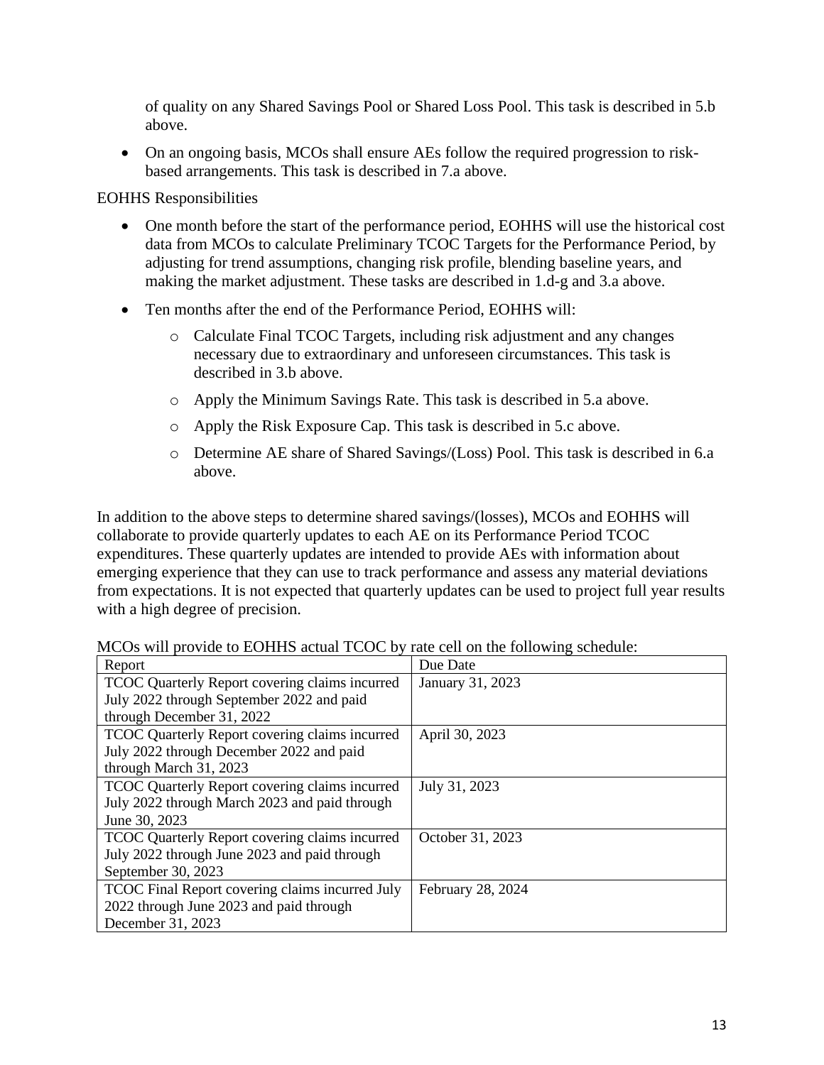of quality on any Shared Savings Pool or Shared Loss Pool. This task is described in 5.b above.

• On an ongoing basis, MCOs shall ensure AEs follow the required progression to riskbased arrangements. This task is described in 7.a above.

EOHHS Responsibilities

- One month before the start of the performance period, EOHHS will use the historical cost data from MCOs to calculate Preliminary TCOC Targets for the Performance Period, by adjusting for trend assumptions, changing risk profile, blending baseline years, and making the market adjustment. These tasks are described in 1.d-g and 3.a above.
- Ten months after the end of the Performance Period, EOHHS will:
	- o Calculate Final TCOC Targets, including risk adjustment and any changes necessary due to extraordinary and unforeseen circumstances. This task is described in 3.b above.
	- o Apply the Minimum Savings Rate. This task is described in 5.a above.
	- o Apply the Risk Exposure Cap. This task is described in 5.c above.
	- o Determine AE share of Shared Savings/(Loss) Pool. This task is described in 6.a above.

In addition to the above steps to determine shared savings/(losses), MCOs and EOHHS will collaborate to provide quarterly updates to each AE on its Performance Period TCOC expenditures. These quarterly updates are intended to provide AEs with information about emerging experience that they can use to track performance and assess any material deviations from expectations. It is not expected that quarterly updates can be used to project full year results with a high degree of precision.

| Report                                          | Due Date          |
|-------------------------------------------------|-------------------|
| TCOC Quarterly Report covering claims incurred  | January 31, 2023  |
| July 2022 through September 2022 and paid       |                   |
| through December 31, 2022                       |                   |
| TCOC Quarterly Report covering claims incurred  | April 30, 2023    |
| July 2022 through December 2022 and paid        |                   |
| through March 31, 2023                          |                   |
| TCOC Quarterly Report covering claims incurred  | July 31, 2023     |
| July 2022 through March 2023 and paid through   |                   |
| June 30, 2023                                   |                   |
| TCOC Quarterly Report covering claims incurred  | October 31, 2023  |
| July 2022 through June 2023 and paid through    |                   |
| September 30, 2023                              |                   |
| TCOC Final Report covering claims incurred July | February 28, 2024 |
| 2022 through June 2023 and paid through         |                   |
| December 31, 2023                               |                   |

MCOs will provide to EOHHS actual TCOC by rate cell on the following schedule: